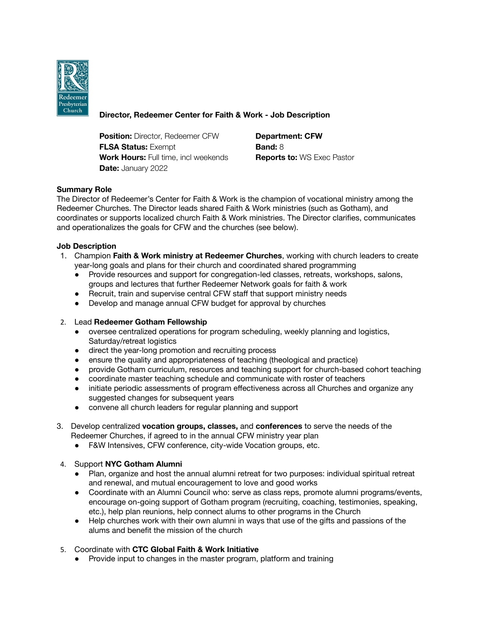

# **Director, Redeemer Center for Faith & Work - Job Description**

**Position:** Director, Redeemer CFW **Department: CFW FLSA Status:** Exempt **Band:** 8 **Work Hours:** Full time, incl weekends **Reports to:** WS Exec Pastor **Date:** January 2022

# **Summary Role**

The Director of Redeemer's Center for Faith & Work is the champion of vocational ministry among the Redeemer Churches. The Director leads shared Faith & Work ministries (such as Gotham), and coordinates or supports localized church Faith & Work ministries. The Director clarifies, communicates and operationalizes the goals for CFW and the churches (see below).

# **Job Description**

- 1. Champion **Faith & Work ministry at Redeemer Churches**, working with church leaders to create year-long goals and plans for their church and coordinated shared programming
	- Provide resources and support for congregation-led classes, retreats, workshops, salons, groups and lectures that further Redeemer Network goals for faith & work
	- Recruit, train and supervise central CFW staff that support ministry needs
	- Develop and manage annual CFW budget for approval by churches

## 2. Lead **Redeemer Gotham Fellowship**

- oversee centralized operations for program scheduling, weekly planning and logistics, Saturday/retreat logistics
- direct the year-long promotion and recruiting process
- ensure the quality and appropriateness of teaching (theological and practice)
- provide Gotham curriculum, resources and teaching support for church-based cohort teaching
- coordinate master teaching schedule and communicate with roster of teachers
- initiate periodic assessments of program effectiveness across all Churches and organize any suggested changes for subsequent years
- convene all church leaders for regular planning and support
- 3. Develop centralized **vocation groups, classes,** and **conferences** to serve the needs of the Redeemer Churches, if agreed to in the annual CFW ministry year plan
	- F&W Intensives, CFW conference, city-wide Vocation groups, etc.
- 4. Support **NYC Gotham Alumni**
	- Plan, organize and host the annual alumni retreat for two purposes: individual spiritual retreat and renewal, and mutual encouragement to love and good works
	- Coordinate with an Alumni Council who: serve as class reps, promote alumni programs/events, encourage on-going support of Gotham program (recruiting, coaching, testimonies, speaking, etc.), help plan reunions, help connect alums to other programs in the Church
	- Help churches work with their own alumni in ways that use of the gifts and passions of the alums and benefit the mission of the church
- 5. Coordinate with **CTC Global Faith & Work Initiative**
	- Provide input to changes in the master program, platform and training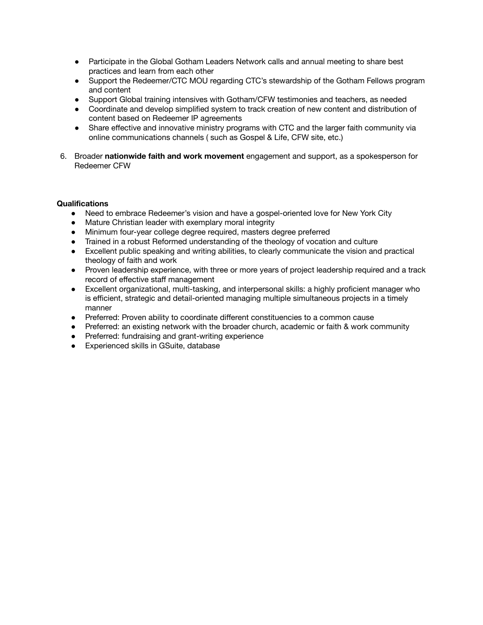- Participate in the Global Gotham Leaders Network calls and annual meeting to share best practices and learn from each other
- Support the Redeemer/CTC MOU regarding CTC's stewardship of the Gotham Fellows program and content
- Support Global training intensives with Gotham/CFW testimonies and teachers, as needed
- Coordinate and develop simplified system to track creation of new content and distribution of content based on Redeemer IP agreements
- Share effective and innovative ministry programs with CTC and the larger faith community via online communications channels ( such as Gospel & Life, CFW site, etc.)
- 6. Broader **nationwide faith and work movement** engagement and support, as a spokesperson for Redeemer CFW

## **Qualifications**

- Need to embrace Redeemer's vision and have a gospel-oriented love for New York City
- Mature Christian leader with exemplary moral integrity
- Minimum four-year college degree required, masters degree preferred
- Trained in a robust Reformed understanding of the theology of vocation and culture
- Excellent public speaking and writing abilities, to clearly communicate the vision and practical theology of faith and work
- Proven leadership experience, with three or more years of project leadership required and a track record of effective staff management
- Excellent organizational, multi-tasking, and interpersonal skills: a highly proficient manager who is efficient, strategic and detail-oriented managing multiple simultaneous projects in a timely manner
- Preferred: Proven ability to coordinate different constituencies to a common cause
- Preferred: an existing network with the broader church, academic or faith & work community
- Preferred: fundraising and grant-writing experience
- Experienced skills in GSuite, database